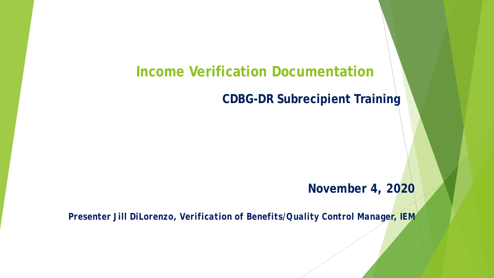### **Income Verification Documentation**

#### **CDBG-DR Subrecipient Training**

#### **November 4, 2020**

*Presenter Jill DiLorenzo, Verification of Benefits/Quality Control Manager, IEM*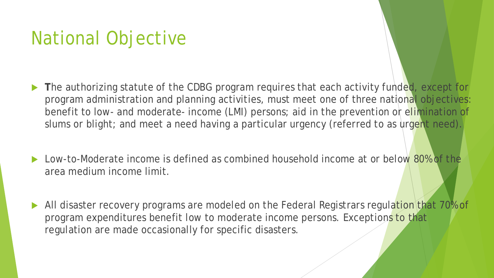# National Objective

- **T**he authorizing statute of the CDBG program requires that each activity funded, except for program administration and planning activities, must meet one of three national objectives: benefit to low- and moderate- income (LMI) persons; aid in the prevention or elimination of slums or blight; and meet a need having a particular urgency (referred to as urgent need).
- Low-to-Moderate income is defined as combined household income at or below 80% of the area medium income limit.
- All disaster recovery programs are modeled on the Federal Registrars regulation that 70% of program expenditures benefit low to moderate income persons. Exceptions to that regulation are made occasionally for specific disasters.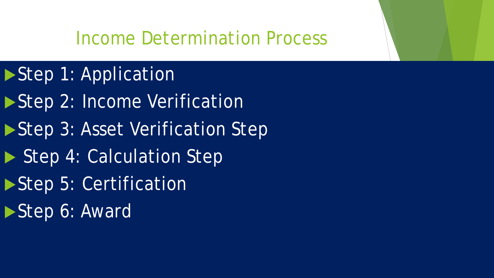## Income Determination Process

- Step 1: Application
- ▶ Step 2: Income Verification
- Step 3: Asset Verification Step
- Step 4: Calculation Step
- ▶ Step 5: Certification
- Step 6: Award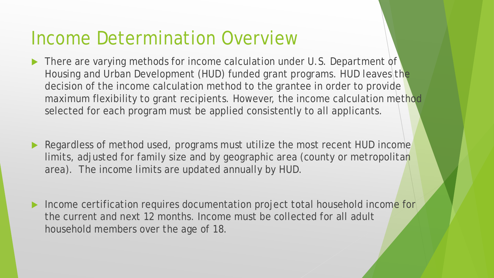## Income Determination Overview

- There are varying methods for income calculation under U.S. Department of Housing and Urban Development (HUD) funded grant programs. HUD leaves the decision of the income calculation method to the grantee in order to provide maximum flexibility to grant recipients. However, the income calculation method selected for each program must be applied consistently to all applicants.
- Regardless of method used, programs must utilize the most recent HUD income limits, adjusted for family size and by geographic area (county or metropolitan area). The income limits are updated annually by HUD.
- Income certification requires documentation project total household income for the current and next 12 months. Income must be collected for all adult household members over the age of 18.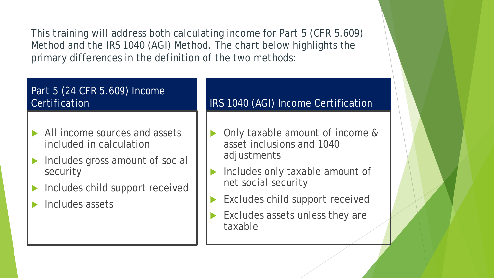This training will address both calculating income for Part 5 (CFR 5.609) Method and the IRS 1040 (AGI) Method. The chart below highlights the primary differences in the definition of the two methods:

#### Part 5 (24 CFR 5.609) Income **Certification**

- All income sources and assets included in calculation
- Includes gross amount of social security
- Includes child support received
- Includes assets

#### IRS 1040 (AGI) Income Certification

- Only taxable amount of income & asset inclusions and 1040 adjustments
- Includes only taxable amount of net social security
- Excludes child support received
- Excludes assets unless they are taxable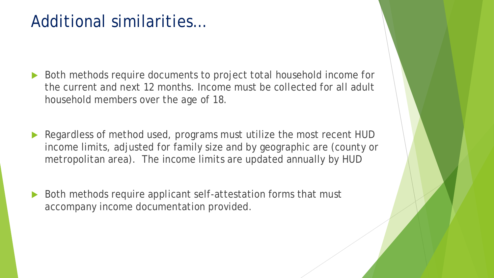## Additional similarities…

- Both methods require documents to project total household income for the current and next 12 months. Income must be collected for all adult household members over the age of 18.
- Regardless of method used, programs must utilize the most recent HUD income limits, adjusted for family size and by geographic are (county or metropolitan area). The income limits are updated annually by HUD
- ▶ Both methods require applicant self-attestation forms that must accompany income documentation provided.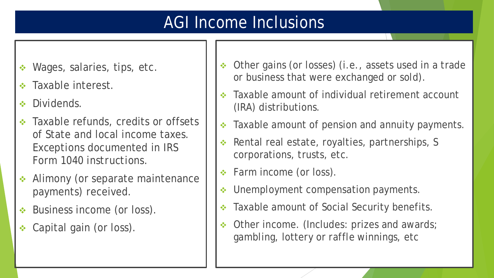## AGI Income Inclusions

- Wages, salaries, tips, etc.
- Taxable interest.
- Dividends.
- **❖** Taxable refunds, credits or offsets of State and local income taxes. *Exceptions* documented in *IRS Form 1040 instructions.*
- Alimony (or separate maintenance payments) received.
- **❖** Business income (or loss).
- ◆ Capital gain (or loss).
- ◆ Other gains (or losses) (i.e., assets used in a trade or business that were exchanged or sold).
- Taxable amount of individual retirement account (IRA) distributions.
- Taxable amount of pension and annuity payments.
- ◆ Rental real estate, royalties, partnerships, S corporations, trusts, etc.
- ◆ Farm income (or loss).
- ◆ Unemployment compensation payments.
- \* Taxable amount of Social Security benefits.
- Other income. (Includes: prizes and awards; gambling, lottery or raffle winnings, etc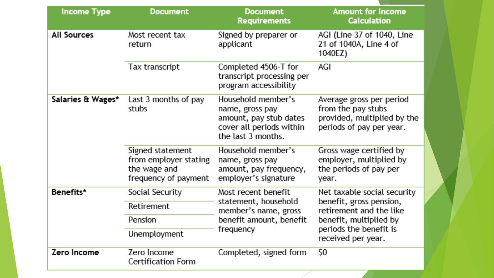| <b>Income Type</b> | <b>Document</b>                                                                   | <b>Document</b><br><b>Requirements</b>                                                                            | <b>Amount for Income</b><br><b>Calculation</b>                                                            |  |
|--------------------|-----------------------------------------------------------------------------------|-------------------------------------------------------------------------------------------------------------------|-----------------------------------------------------------------------------------------------------------|--|
| <b>All Sources</b> | Most recent tax<br>return                                                         | Signed by preparer or<br>applicant                                                                                | AGI (Line 37 of 1040, Line<br>21 of 1040A, Line 4 of<br>1040EZ)                                           |  |
|                    | Tax transcript                                                                    | Completed 4506-T for<br>transcript processing per<br>program accessibility                                        | AGI                                                                                                       |  |
| Salaries & Wages*  | Last 3 months of pay<br>stubs                                                     | Household member's<br>name, gross pay<br>amount, pay stub dates<br>cover all periods within<br>the last 3 months. | Average gross per period<br>from the pay stubs<br>provided, multiplied by the<br>periods of pay per year. |  |
|                    | Signed statement<br>from employer stating<br>the wage and<br>frequency of payment | Household member's<br>name, gross pay<br>amount, pay frequency,<br>employer's signature                           | Gross wage certified by<br>employer, multiplied by<br>the periods of pay per<br>year.                     |  |
| Benefits*          | Social Security                                                                   | Most recent benefit                                                                                               | Net taxable social security                                                                               |  |
|                    | Retirement                                                                        | statement, household<br>member's name, gross                                                                      | benefit, gross pension,<br>retirement and the like                                                        |  |
|                    | Pension                                                                           | benefit amount, benefit                                                                                           | benefit, multiplied by                                                                                    |  |
|                    | Unemployment                                                                      | frequency                                                                                                         | periods the benefit is<br>received per year.                                                              |  |
| Zero Income        | Zero Income<br><b>Certification Form</b>                                          | Completed, signed form                                                                                            | Ş0                                                                                                        |  |

 $\bigvee$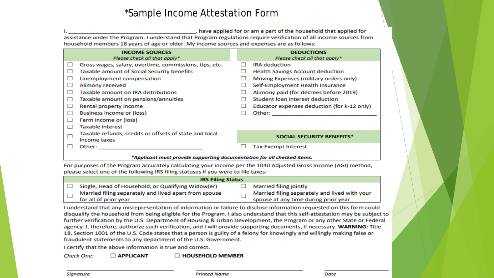#### \*Sample Income Attestation Form

, have applied for or am a part of the household that applied for assistance under the Program. I understand that Program regulations require verification of all income sources from household members 18 years of age or older. My income sources and expenses are as follows:

|              | <b>INCOME SOURCES</b><br>Please check all that apply*                  |  | <b>DEDUCTIONS</b><br>Please check all that apply* |
|--------------|------------------------------------------------------------------------|--|---------------------------------------------------|
| ப            | Gross wages, salary, overtime, commissions, tips, etc.                 |  | <b>IRA</b> deduction                              |
| ш            | <b>Taxable amount of Social Security benefits</b>                      |  | <b>Health Savings Account deduction</b>           |
| ப            | Unemployment compensation                                              |  | Moving Expenses (military orders only)            |
| □            | Alimony received                                                       |  | Self-Employment Health Insurance                  |
| П            | Taxable amount on IRA distributions                                    |  | Alimony paid (for decrees before 2019)            |
| Ш            | Taxable amount on pensions/annuities                                   |  | Student loan interest deduction                   |
| ப            | Rental property income                                                 |  | Educator expenses deduction (for k-12 only)       |
| ப            | <b>Business income or (loss)</b>                                       |  | Other:                                            |
| ப            | Farm income or (loss)                                                  |  |                                                   |
| $\mathbf{1}$ | <b>Taxable interest</b>                                                |  |                                                   |
|              | Taxable refunds, credits or offsets of state and local<br>income taxes |  | <b>SOCIAL SECURITY BENEFITS*</b>                  |
|              | Other:                                                                 |  | <b>Tax-Exempt Interest</b>                        |

#### \*Applicant must provide supporting documentation for all checked items.

For purposes of the Program accurately calculating your income per the 1040 Adjusted Gross Income (AGI) method, please select one of the following IRS filing statuses if you were to file taxes:

|  | <b>IRS Filing Status</b> |                                                       |                                      |                                               |  |
|--|--------------------------|-------------------------------------------------------|--------------------------------------|-----------------------------------------------|--|
|  |                          | Single, Head of Household, or Qualifying Widow(er)    |                                      | <b>Married filing jointly</b>                 |  |
|  |                          | Married filing separately and lived apart from spouse |                                      | Married filing separately and lived with your |  |
|  | for all of prior year    |                                                       | spouse at any time during prior year |                                               |  |

I understand that any misrepresentation of information or failure to disclose information requested on this form could disqualify the household from being eligible for the Program. I also understand that this self-attestation may be subject to further verification by the U.S. Department of Housing & Urban Development, the Program or any other State or Federal agency. I, therefore, authorize such verification, and I will provide supporting documents, if necessary. WARNING: Title 18, Section 1001 of the U.S. Code states that a person is guilty of a felony for knowingly and willingly making false or fraudulent statements to any department of the U.S. Government.

I certify that the above information is true and correct.

**Check One: APPLICANT E HOUSEHOLD MEMBER**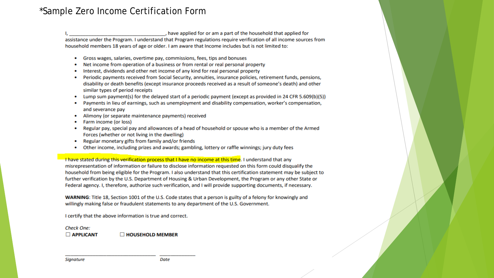#### \*Sample Zero Income Certification Form

, have applied for or am a part of the household that applied for

assistance under the Program. I understand that Program regulations require verification of all income sources from household members 18 years of age or older. I am aware that Income includes but is not limited to:

- Gross wages, salaries, overtime pay, commissions, fees, tips and bonuses
- Net income from operation of a business or from rental or real personal property
- Interest, dividends and other net income of any kind for real personal property
- Periodic payments received from Social Security, annuities, insurance policies, retirement funds, pensions,  $\bullet$ disability or death benefits (except insurance proceeds received as a result of someone's death) and other similar types of period receipts
- Lump sum payment(s) for the delayed start of a periodic payment (except as provided in 24 CFR 5.609(b)(5))
- Payments in lieu of earnings, such as unemployment and disability compensation, worker's compensation,  $\bullet$ and severance pay
- Alimony (or separate maintenance payments) received
- Farm income (or loss)
- Regular pay, special pay and allowances of a head of household or spouse who is a member of the Armed Forces (whether or not living in the dwelling)
- Regular monetary gifts from family and/or friends  $\bullet$
- Other income, including prizes and awards; gambling, lottery or raffle winnings; jury duty fees  $\bullet$

I have stated during this verification process that I have no income at this time. I understand that any misrepresentation of information or failure to disclose information requested on this form could disqualify the household from being eligible for the Program. I also understand that this certification statement may be subject to further verification by the U.S. Department of Housing & Urban Development, the Program or any other State or Federal agency. I, therefore, authorize such verification, and I will provide supporting documents, if necessary.

WARNING: Title 18, Section 1001 of the U.S. Code states that a person is guilty of a felony for knowingly and willingly making false or fraudulent statements to any department of the U.S. Government.

I certify that the above information is true and correct.

**Check One:**  $\Box$  APPLICANT  $\Box$  HOUSEHOLD MEMBER

**Signature** 

**Date**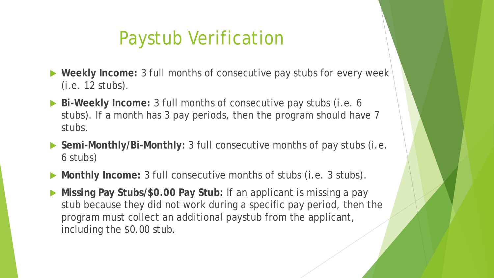## Paystub Verification

- **Weekly Income:** 3 full months of consecutive pay stubs for every week (i.e. 12 stubs).
- **Bi-Weekly Income:** 3 full months of consecutive pay stubs (i.e. 6 stubs). If a month has 3 pay periods, then the program should have 7 stubs.
- **Semi-Monthly/Bi-Monthly:** 3 full consecutive months of pay stubs (i.e. 6 stubs)
- **Monthly Income:** 3 full consecutive months of stubs (i.e. 3 stubs).
- **Missing Pay Stubs/\$0.00 Pay Stub:** If an applicant is missing a pay stub because they did not work during a specific pay period, then the program must collect an additional paystub from the applicant, including the \$0.00 stub.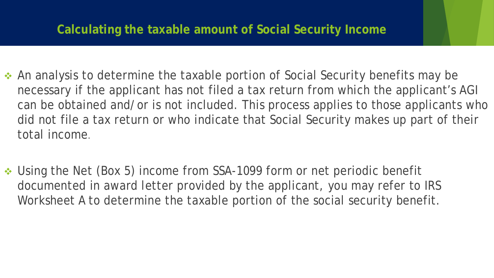### **Calculating the taxable amount of Social Security Income**

- ◆ An analysis to determine the taxable portion of Social Security benefits may be necessary if the applicant has not filed a tax return from which the applicant's AGI can be obtained and/or is not included. This process applies to those applicants who did not file a tax return or who indicate that Social Security makes up part of their total income.
- ◆ Using the Net (Box 5) income from SSA-1099 form or net periodic benefit documented in award letter provided by the applicant, you may refer to IRS Worksheet A to determine the taxable portion of the social security benefit.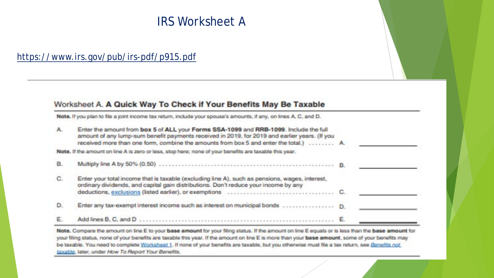### IRS Worksheet A

#### <https://www.irs.gov/pub/irs-pdf/p915.pdf>

#### Worksheet A. A Quick Way To Check if Your Benefits May Be Taxable

Note. If you plan to file a joint income tax return, include your spouse's amounts, if any, on lines A, C, and D.

| A. | Enter the amount from box 5 of ALL your Forms SSA-1099 and RRB-1099. Include the full<br>amount of any lump-sum benefit payments received in 2019, for 2019 and earlier years. (If you<br>received more than one form, combine the amounts from box 5 and enter the total.)  A. |  |
|----|---------------------------------------------------------------------------------------------------------------------------------------------------------------------------------------------------------------------------------------------------------------------------------|--|
|    | Note. If the amount on line A is zero or less, stop here; none of your benefits are taxable this year.                                                                                                                                                                          |  |
| В. |                                                                                                                                                                                                                                                                                 |  |
| C. | Enter your total income that is taxable (excluding line A), such as pensions, wages, interest,<br>ordinary dividends, and capital gain distributions. Don't reduce your income by any                                                                                           |  |
| D. |                                                                                                                                                                                                                                                                                 |  |
|    |                                                                                                                                                                                                                                                                                 |  |

Note. Compare the amount on line E to your base amount for your filing status. If the amount on line E equals or is less than the base amount for your filing status, none of your benefits are taxable this year. If the amount on line E is more than your base amount, some of your benefits may be taxable. You need to complete Worksheet 1. If none of your benefits are taxable, but you otherwise must file a tax return, see Benefits not taxable, later, under How To Report Your Benefits.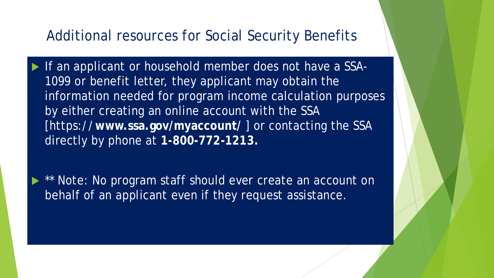### Additional resources for Social Security Benefits

- If an applicant or household member does not have a SSA-1099 or benefit letter, they applicant may obtain the information needed for program income calculation purposes by either creating an online account with the SSA [https://**www.ssa.gov/myaccount/** ] or contacting the SSA directly by phone at **1-800-772-1213.** 
	- \*\* Note: No program staff should ever create an account on behalf of an applicant even if they request assistance.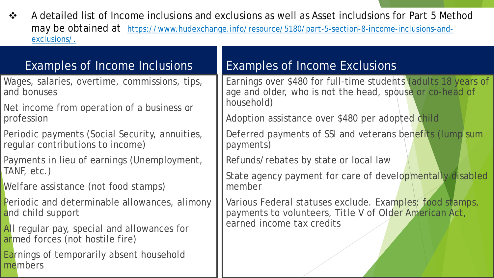◆ A detailed list of Income inclusions and exclusions as well as Asset includsions for Part 5 Method may be obtained at [https://www.hudexchange.info/resource/5180/part-5-section-8-income-inclusions-and](https://www.hudexchange.info/resource/5180/part-5-section-8-income-inclusions-and-exclusions/)exclusions/.

### Examples of Income Inclusions

- Wages, salaries, overtime, commissions, tips, and bonuses
- Net income from operation of a business or profession
- Periodic payments (Social Security, annuities, regular contributions to income)
- Payments in lieu of earnings (Unemployment, TANF, etc.)
- Welfare assistance (not food stamps)
- Periodic and determinable allowances, alimony and child support
- All regular pay, special and allowances for armed forces (not hostile fire)
- Earnings of temporarily absent household members

### Examples of Income Exclusions

Earnings over \$480 for full-time students (adults 18 years of age and older, who is not the head, spouse or co-head of household)

Adoption assistance over \$480 per adopted child

Deferred payments of SSI and veterans benefits (lump sum payments)

Refunds/rebates by state or local law

State agency payment for care of developmentally disabled member

Various Federal statuses exclude. Examples: food stamps, payments to volunteers, Title V of Older American Act, earned income tax credits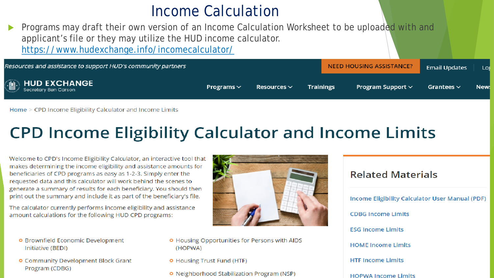## Income Calculation

Programs may draft their own version of an Income Calculation Worksheet to be uploaded with and applicant's file or they may utilize the HUD income calculator. https://www.hudexchange.info/incomecalculator/

| Resources and assistance to support HUD's community partners |                 |                  | <b>NEED HOUSING ASSISTANCE?</b> | <b>Email Updates</b>   | Los             |      |
|--------------------------------------------------------------|-----------------|------------------|---------------------------------|------------------------|-----------------|------|
| <b>Secretary Ben Carson</b>                                  | Programs $\vee$ | Resources $\vee$ | <b>Trainings</b>                | Program Support $\vee$ | Grantees $\vee$ | New: |

Home > CPD Income Eligibility Calculator and Income Limits

## **CPD Income Eligibility Calculator and Income Limits**

Welcome to CPD's Income Eligibility Calculator, an interactive tool that makes determining the income eligibility and assistance amounts for beneficiaries of CPD programs as easy as 1-2-3. Simply enter the requested data and this calculator will work behind the scenes to generate a summary of results for each beneficiary. You should then print out the summary and include it as part of the beneficiary's file.

The calculator currently performs income eligibility and assistance amount calculations for the following HUD CPD programs:

- **O** Brownfield Economic Development Initiative (BEDI)
- **O** Community Development Block Grant Program (CDBG)



- **O** Housing Opportunities for Persons with AIDS (HOPWA)
- **O** Housing Trust Fund (HTF)
- **o** Neighborhood Stabilization Program (NSP)

## **Related Materials**

Income Eligibility Calculator User Manual (PDF) **CDBG Income Limits ESG Income Limits HOME Income Limits HTF Income Limits HOPWA Income Limits**